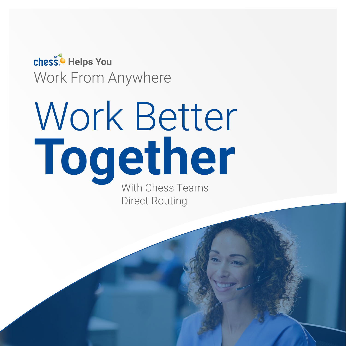chess<sup>6</sup> Helps You Work From Anywhere

# With Chess Teams Direct Routing Work Better **Together**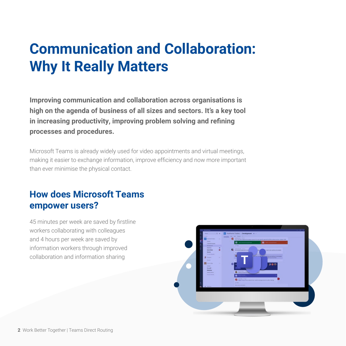### **Communication and Collaboration: Why It Really Matters**

**Improving communication and collaboration across organisations is high on the agenda of business of all sizes and sectors. It's a key tool in increasing productivity, improving problem solving and refining processes and procedures.**

Microsoft Teams is already widely used for video appointments and virtual meetings, making it easier to exchange information, improve efficiency and now more important than ever minimise the physical contact.

### **How does Microsoft Teams empower users?**

45 minutes per week are saved by firstline workers collaborating with colleagues and 4 hours per week are saved by information workers through improved collaboration and information sharing

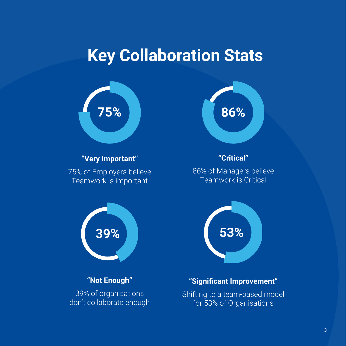### **Key Collaboration Stats**



39% of organisations don't collaborate enough

Shifting to a team-based model for 53% of Organisations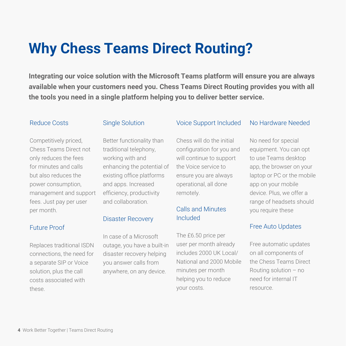### **Why Chess Teams Direct Routing?**

**Integrating our voice solution with the Microsoft Teams platform will ensure you are always available when your customers need you. Chess Teams Direct Routing provides you with all the tools you need in a single platform helping you to deliver better service.**

#### Reduce Costs

#### Single Solution

Competitively priced, Chess Teams Direct not only reduces the fees for minutes and calls but also reduces the power consumption, management and support fees. Just pay per user per month.

#### Future Proof

Replaces traditional ISDN connections, the need for a separate SIP or Voice solution, plus the call costs associated with these.

Better functionality than traditional telephony, working with and enhancing the potential of existing office platforms and apps. Increased efficiency, productivity and collaboration.

#### Disaster Recovery

In case of a Microsoft outage, you have a built-in disaster recovery helping you answer calls from anywhere, on any device.

#### Voice Support Included

Chess will do the initial configuration for you and will continue to support the Voice service to ensure you are always operational, all done remotely.

#### Calls and Minutes Included

The £6.50 price per user per month already includes 2000 UK Local/ National and 2000 Mobile minutes per month helping you to reduce your costs.

#### No Hardware Needed

No need for special equipment. You can opt to use Teams desktop app, the browser on your laptop or PC or the mobile app on your mobile device. Plus, we offer a range of headsets should you require these

#### Free Auto Updates

Free automatic updates on all components of the Chess Teams Direct Routing solution – no need for internal IT resource.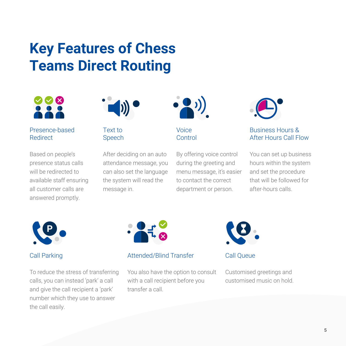### **Key Features of Chess Teams Direct Routing**



#### Presence-based Redirect

Based on people's presence status calls will be redirected to available staff ensuring all customer calls are answered promptly.



Text to Speech

After deciding on an auto attendance message, you can also set the language the system will read the message in.



Voice **Control** 

By offering voice control during the greeting and menu message, it's easier to contact the correct department or person.



#### Business Hours & After Hours Call Flow

You can set up business hours within the system and set the procedure that will be followed for after-hours calls.



#### Call Parking

To reduce the stress of transferring calls, you can instead 'park' a call and give the call recipient a 'park' number which they use to answer the call easily.



#### Attended/Blind Transfer

You also have the option to consult with a call recipient before you transfer a call.



Call Queue

Customised greetings and customised music on hold.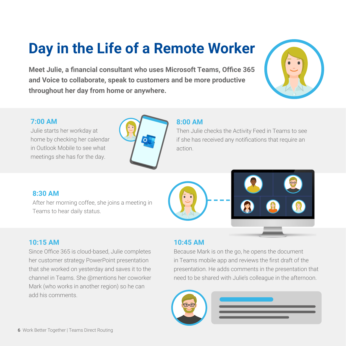## **Day in the Life of a Remote Worker**

**Meet Julie, a financial consultant who uses Microsoft Teams, Office 365 and Voice to collaborate, speak to customers and be more productive throughout her day from home or anywhere.**

#### **7:00 AM**

Julie starts her workday at home by checking her calendar in Outlook Mobile to see what meetings she has for the day.



#### **8:00 AM**

Then Julie checks the Activity Feed in Teams to see if she has received any notifications that require an action.

#### **8:30 AM**

After her morning coffee, she joins a meeting in Teams to hear daily status.





#### **10:15 AM**

Since Office 365 is cloud-based, Julie completes her customer strategy PowerPoint presentation that she worked on yesterday and saves it to the channel in Teams. She @mentions her coworker Mark (who works in another region) so he can add his comments.

#### **10:45 AM**

Because Mark is on the go, he opens the document in Teams mobile app and reviews the first draft of the presentation. He adds comments in the presentation that need to be shared with Julie's colleague in the afternoon.

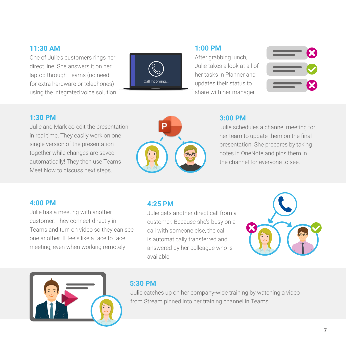#### **11:30 AM**

One of Julie's customers rings her direct line. She answers it on her laptop through Teams (no need for extra hardware or telephones) using the integrated voice solution.



#### **1:00 PM**

After grabbing lunch, Julie takes a look at all of her tasks in Planner and updates their status to share with her manager.



#### **1:30 PM**

Julie and Mark co-edit the presentation in real time. They easily work on one single version of the presentation together while changes are saved automatically! They then use Teams Meet Now to discuss next steps.



#### **3:00 PM**

Julie schedules a channel meeting for her team to update them on the final presentation. She prepares by taking notes in OneNote and pins them in the channel for everyone to see.

#### **4:00 PM**

Julie has a meeting with another customer. They connect directly in Teams and turn on video so they can see one another. It feels like a face to face meeting, even when working remotely.

#### **4:25 PM**

Julie gets another direct call from a customer. Because she's busy on a call with someone else, the call is automatically transferred and answered by her colleague who is available.





#### **5:30 PM**

Julie catches up on her company-wide training by watching a video from Stream pinned into her training channel in Teams.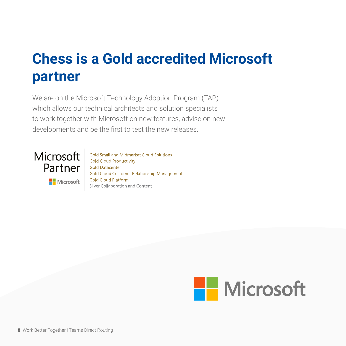### **Chess is a Gold accredited Microsoft partner**

We are on the Microsoft Technology Adoption Program (TAP) which allows our technical architects and solution specialists to work together with Microsoft on new features, advise on new developments and be the first to test the new releases.



Gold Small and Midmarket Cloud Solutions **Gold Cloud Productivity Gold Datacenter Gold Cloud Customer Relationship Management Gold Cloud Platform** Silver Collaboration and Content

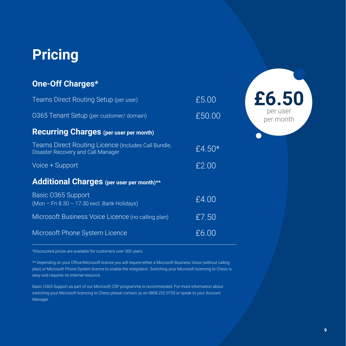### **Pricing**

#### **One-Off Charges\***

| Teams Direct Routing Setup (per user)                                                     | £5.00     |
|-------------------------------------------------------------------------------------------|-----------|
| 0365 Tenant Setup (per customer/ domain)                                                  | £50.00    |
| <b>Recurring Charges (per user per month)</b>                                             |           |
| Teams Direct Routing Licence (Includes Call Bundle,<br>Disaster Recovery and Call Manager | £4.50 $*$ |
| Voice + Support                                                                           | £2.00     |
| <b>Additional Charges</b> (per user per month)**                                          |           |
| Basic 0365 Support<br>(Mon - Fri 8.30 - 17.30 excl. Bank Holidays)                        | £4.00     |
| Microsoft Business Voice Licence (no calling plan)                                        | £7.50     |
| Microsoft Phone System Licence                                                            | £6.00     |

\*Discounted prices are available for customers over 300 users

\*\* Depending on your Office/Microsoft licence you will require either a Microsoft Business Voice (without calling plan) or Microsoft Phone System licence to enable the integration. Switching your Microsoft licencing to Chess is easy and requires no internal resource.

Basic O365 Support as part of our Microsoft CSP programme is recommended. For more information about switching your Microsoft licencing to Chess please contact us on 0808 252 0755 or speak to your Account Manager.

**£6.50**

per user per month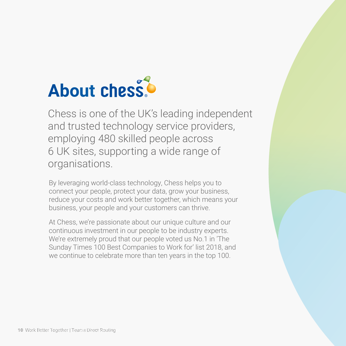# **About chess**

Chess is one of the UK's leading independent and trusted technology service providers, employing 480 skilled people across 6 UK sites, supporting a wide range of organisations.

By leveraging world-class technology, Chess helps you to connect your people, protect your data, grow your business, reduce your costs and work better together, which means your business, your people and your customers can thrive.

At Chess, we're passionate about our unique culture and our continuous investment in our people to be industry experts. We're extremely proud that our people voted us No.1 in 'The Sunday Times 100 Best Companies to Work for' list 2018, and we continue to celebrate more than ten years in the top 100.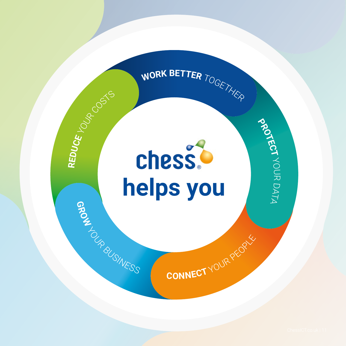